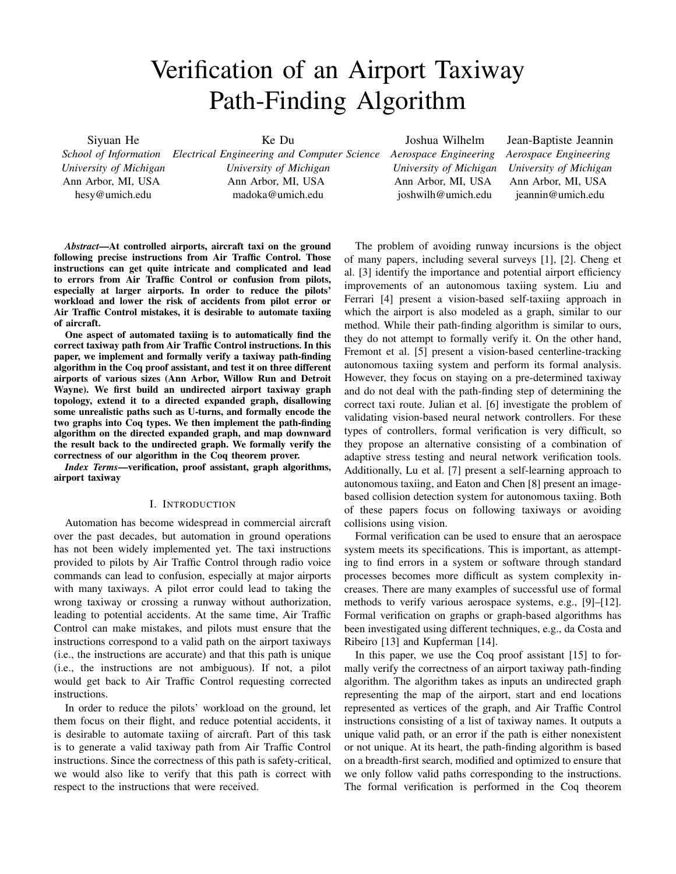# Verification of an Airport Taxiway Path-Finding Algorithm

Siyuan He *School of Information University of Michigan* Ann Arbor, MI, USA hesy@umich.edu

Ke Du

*Electrical Engineering and Computer Science Aerospace Engineering University of Michigan* Ann Arbor, MI, USA madoka@umich.edu

Joshua Wilhelm

*University of Michigan* Ann Arbor, MI, USA joshwilh@umich.edu

Jean-Baptiste Jeannin *Aerospace Engineering University of Michigan* Ann Arbor, MI, USA jeannin@umich.edu

*Abstract*—At controlled airports, aircraft taxi on the ground following precise instructions from Air Traffic Control. Those instructions can get quite intricate and complicated and lead to errors from Air Traffic Control or confusion from pilots, especially at larger airports. In order to reduce the pilots' workload and lower the risk of accidents from pilot error or Air Traffic Control mistakes, it is desirable to automate taxiing of aircraft.

One aspect of automated taxiing is to automatically find the correct taxiway path from Air Traffic Control instructions. In this paper, we implement and formally verify a taxiway path-finding algorithm in the Coq proof assistant, and test it on three different airports of various sizes (Ann Arbor, Willow Run and Detroit Wayne). We first build an undirected airport taxiway graph topology, extend it to a directed expanded graph, disallowing some unrealistic paths such as U-turns, and formally encode the two graphs into Coq types. We then implement the path-finding algorithm on the directed expanded graph, and map downward the result back to the undirected graph. We formally verify the correctness of our algorithm in the Coq theorem prover.

*Index Terms*—verification, proof assistant, graph algorithms, airport taxiway

## I. INTRODUCTION

Automation has become widespread in commercial aircraft over the past decades, but automation in ground operations has not been widely implemented yet. The taxi instructions provided to pilots by Air Traffic Control through radio voice commands can lead to confusion, especially at major airports with many taxiways. A pilot error could lead to taking the wrong taxiway or crossing a runway without authorization, leading to potential accidents. At the same time, Air Traffic Control can make mistakes, and pilots must ensure that the instructions correspond to a valid path on the airport taxiways (i.e., the instructions are accurate) and that this path is unique (i.e., the instructions are not ambiguous). If not, a pilot would get back to Air Traffic Control requesting corrected instructions.

In order to reduce the pilots' workload on the ground, let them focus on their flight, and reduce potential accidents, it is desirable to automate taxiing of aircraft. Part of this task is to generate a valid taxiway path from Air Traffic Control instructions. Since the correctness of this path is safety-critical, we would also like to verify that this path is correct with respect to the instructions that were received.

The problem of avoiding runway incursions is the object of many papers, including several surveys [1], [2]. Cheng et al. [3] identify the importance and potential airport efficiency improvements of an autonomous taxiing system. Liu and Ferrari [4] present a vision-based self-taxiing approach in which the airport is also modeled as a graph, similar to our method. While their path-finding algorithm is similar to ours, they do not attempt to formally verify it. On the other hand, Fremont et al. [5] present a vision-based centerline-tracking autonomous taxiing system and perform its formal analysis. However, they focus on staying on a pre-determined taxiway and do not deal with the path-finding step of determining the correct taxi route. Julian et al. [6] investigate the problem of validating vision-based neural network controllers. For these types of controllers, formal verification is very difficult, so they propose an alternative consisting of a combination of adaptive stress testing and neural network verification tools. Additionally, Lu et al. [7] present a self-learning approach to autonomous taxiing, and Eaton and Chen [8] present an imagebased collision detection system for autonomous taxiing. Both of these papers focus on following taxiways or avoiding collisions using vision.

Formal verification can be used to ensure that an aerospace system meets its specifications. This is important, as attempting to find errors in a system or software through standard processes becomes more difficult as system complexity increases. There are many examples of successful use of formal methods to verify various aerospace systems, e.g., [9]–[12]. Formal verification on graphs or graph-based algorithms has been investigated using different techniques, e.g., da Costa and Ribeiro [13] and Kupferman [14].

In this paper, we use the Coq proof assistant [15] to formally verify the correctness of an airport taxiway path-finding algorithm. The algorithm takes as inputs an undirected graph representing the map of the airport, start and end locations represented as vertices of the graph, and Air Traffic Control instructions consisting of a list of taxiway names. It outputs a unique valid path, or an error if the path is either nonexistent or not unique. At its heart, the path-finding algorithm is based on a breadth-first search, modified and optimized to ensure that we only follow valid paths corresponding to the instructions. The formal verification is performed in the Coq theorem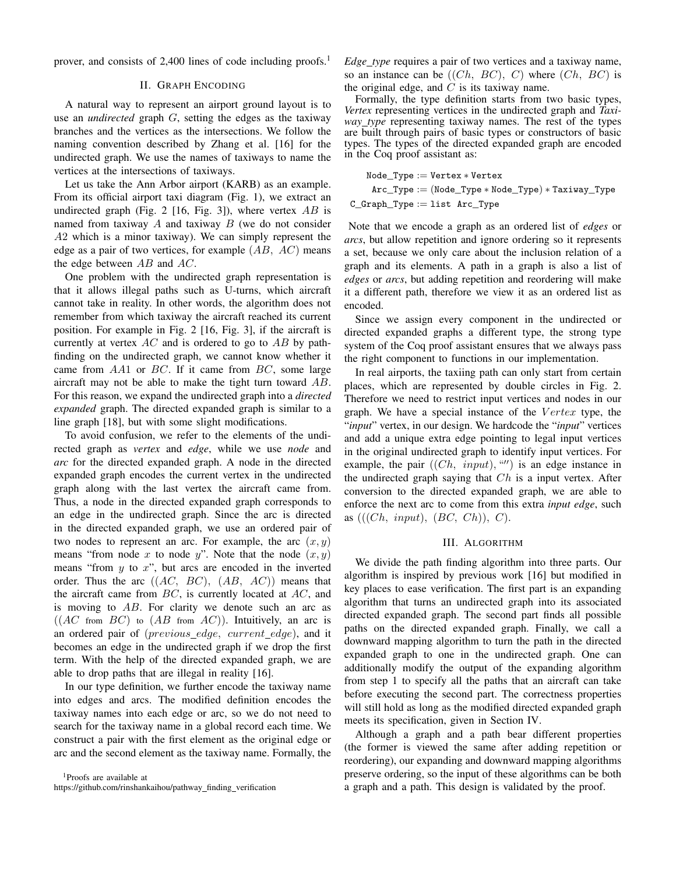prover, and consists of 2,400 lines of code including proofs.<sup>1</sup>

## II. GRAPH ENCODING

A natural way to represent an airport ground layout is to use an *undirected* graph G, setting the edges as the taxiway branches and the vertices as the intersections. We follow the naming convention described by Zhang et al. [16] for the undirected graph. We use the names of taxiways to name the vertices at the intersections of taxiways.

Let us take the Ann Arbor airport (KARB) as an example. From its official airport taxi diagram (Fig. 1), we extract an undirected graph (Fig. 2 [16, Fig. 3]), where vertex  $AB$  is named from taxiway  $A$  and taxiway  $B$  (we do not consider A2 which is a minor taxiway). We can simply represent the edge as a pair of two vertices, for example  $(AB, AC)$  means the edge between  $AB$  and  $AC$ .

One problem with the undirected graph representation is that it allows illegal paths such as U-turns, which aircraft cannot take in reality. In other words, the algorithm does not remember from which taxiway the aircraft reached its current position. For example in Fig. 2 [16, Fig. 3], if the aircraft is currently at vertex  $AC$  and is ordered to go to  $AB$  by pathfinding on the undirected graph, we cannot know whether it came from  $AA1$  or  $BC$ . If it came from  $BC$ , some large aircraft may not be able to make the tight turn toward AB. For this reason, we expand the undirected graph into a *directed expanded* graph. The directed expanded graph is similar to a line graph [18], but with some slight modifications.

To avoid confusion, we refer to the elements of the undirected graph as *vertex* and *edge*, while we use *node* and *arc* for the directed expanded graph. A node in the directed expanded graph encodes the current vertex in the undirected graph along with the last vertex the aircraft came from. Thus, a node in the directed expanded graph corresponds to an edge in the undirected graph. Since the arc is directed in the directed expanded graph, we use an ordered pair of two nodes to represent an arc. For example, the arc  $(x, y)$ means "from node x to node y". Note that the node  $(x, y)$ means "from  $y$  to  $x$ ", but arcs are encoded in the inverted order. Thus the arc  $((AC, BC), (AB, AC))$  means that the aircraft came from  $BC$ , is currently located at  $AC$ , and is moving to  $AB$ . For clarity we denote such an arc as  $((AC from BC)$  to  $(AB from AC))$ . Intuitively, an arc is an ordered pair of (previous edge, current edge), and it becomes an edge in the undirected graph if we drop the first term. With the help of the directed expanded graph, we are able to drop paths that are illegal in reality [16].

In our type definition, we further encode the taxiway name into edges and arcs. The modified definition encodes the taxiway names into each edge or arc, so we do not need to search for the taxiway name in a global record each time. We construct a pair with the first element as the original edge or arc and the second element as the taxiway name. Formally, the

<sup>1</sup>Proofs are available at https://github.com/rinshankaihou/pathway\_finding\_verification *Edge type* requires a pair of two vertices and a taxiway name, so an instance can be  $((Ch, BC), C)$  where  $(Ch, BC)$  is the original edge, and  $C$  is its taxiway name.

Formally, the type definition starts from two basic types, *Vertex* representing vertices in the undirected graph and *Taxiway type* representing taxiway names. The rest of the types are built through pairs of basic types or constructors of basic types. The types of the directed expanded graph are encoded in the Coq proof assistant as:

$$
\begin{aligned} \texttt{Node\_Type} &:= \texttt{Vertex} * \texttt{Vertex} \\ \texttt{Arc\_Type} &:= (\texttt{Node\_Type} * \texttt{Node\_Type}) * \texttt{Taxiway\_Type} \\ \texttt{C\_Graph\_Type} &:= \texttt{list} \ \texttt{Arc\_Type} \end{aligned}
$$

Note that we encode a graph as an ordered list of *edges* or *arcs*, but allow repetition and ignore ordering so it represents a set, because we only care about the inclusion relation of a graph and its elements. A path in a graph is also a list of *edges* or *arcs*, but adding repetition and reordering will make it a different path, therefore we view it as an ordered list as encoded.

Since we assign every component in the undirected or directed expanded graphs a different type, the strong type system of the Coq proof assistant ensures that we always pass the right component to functions in our implementation.

In real airports, the taxiing path can only start from certain places, which are represented by double circles in Fig. 2. Therefore we need to restrict input vertices and nodes in our graph. We have a special instance of the  $Vertex$  type, the "*input*" vertex, in our design. We hardcode the "*input*" vertices and add a unique extra edge pointing to legal input vertices in the original undirected graph to identify input vertices. For example, the pair  $((Ch, input), \lq''')$  is an edge instance in the undirected graph saying that  $Ch$  is a input vertex. After conversion to the directed expanded graph, we are able to enforce the next arc to come from this extra *input edge*, such as  $(((Ch, input), (BC, Ch)), C)$ .

#### III. ALGORITHM

We divide the path finding algorithm into three parts. Our algorithm is inspired by previous work [16] but modified in key places to ease verification. The first part is an expanding algorithm that turns an undirected graph into its associated directed expanded graph. The second part finds all possible paths on the directed expanded graph. Finally, we call a downward mapping algorithm to turn the path in the directed expanded graph to one in the undirected graph. One can additionally modify the output of the expanding algorithm from step 1 to specify all the paths that an aircraft can take before executing the second part. The correctness properties will still hold as long as the modified directed expanded graph meets its specification, given in Section IV.

Although a graph and a path bear different properties (the former is viewed the same after adding repetition or reordering), our expanding and downward mapping algorithms preserve ordering, so the input of these algorithms can be both a graph and a path. This design is validated by the proof.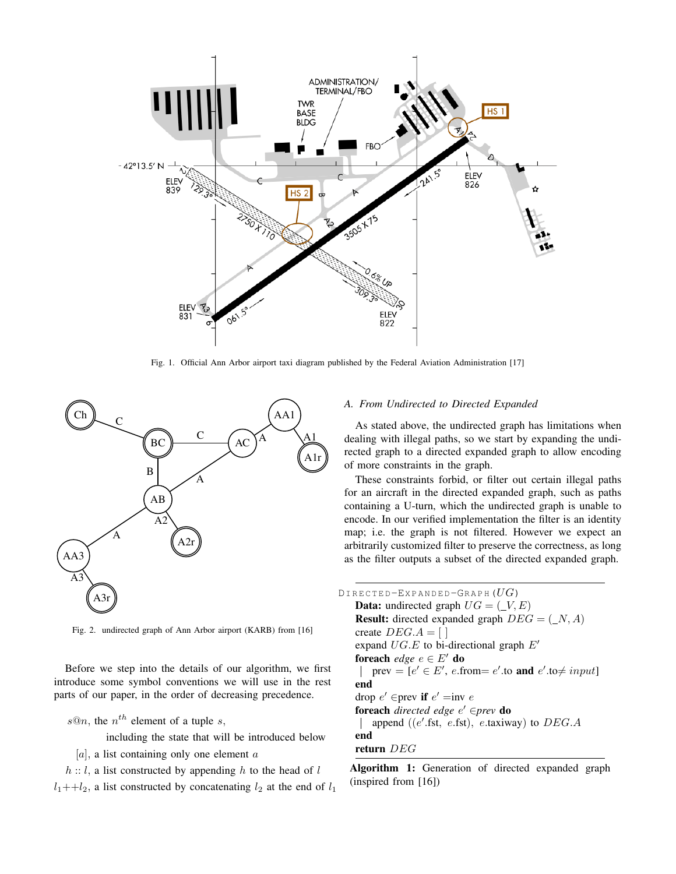

Fig. 1. Official Ann Arbor airport taxi diagram published by the Federal Aviation Administration [17]



Fig. 2. undirected graph of Ann Arbor airport (KARB) from [16]

Before we step into the details of our algorithm, we first introduce some symbol conventions we will use in the rest parts of our paper, in the order of decreasing precedence.

 $s@n$ , the  $n<sup>th</sup>$  element of a tuple s,

including the state that will be introduced below

[a], a list containing only one element  $\alpha$ 

 $h$  :: l, a list constructed by appending h to the head of l  $l_1$ ++ $l_2$ , a list constructed by concatenating  $l_2$  at the end of  $l_1$ 

# *A. From Undirected to Directed Expanded*

As stated above, the undirected graph has limitations when dealing with illegal paths, so we start by expanding the undirected graph to a directed expanded graph to allow encoding of more constraints in the graph.

These constraints forbid, or filter out certain illegal paths for an aircraft in the directed expanded graph, such as paths containing a U-turn, which the undirected graph is unable to encode. In our verified implementation the filter is an identity map; i.e. the graph is not filtered. However we expect an arbitrarily customized filter to preserve the correctness, as long as the filter outputs a subset of the directed expanded graph.

| <code>Directed-Expanded-Graph</code> ( $\overline{UG}$ )     |
|--------------------------------------------------------------|
| <b>Data:</b> undirected graph $UG = (\_V, E)$                |
| <b>Result:</b> directed expanded graph $DEG = (\_N, A)$      |
| create $DEG.A = [$                                           |
| expand $UG.E$ to bi-directional graph $E'$                   |
| foreach <i>edge</i> $e \in E'$ do                            |
| prev = $[e' \in E'$ , e.from= e'.to and e'.to $\neq input$ ] |
| end                                                          |
| drop $e' \in \text{prev if } e' = \text{inv } e$             |
| <b>foreach</b> directed edge $e' \in prev$ <b>do</b>         |
| append ((e'.fst, e.fst), e.taxiway) to $DEG.A$               |
| end                                                          |
| return $DEG$                                                 |
|                                                              |

Algorithm 1: Generation of directed expanded graph (inspired from [16])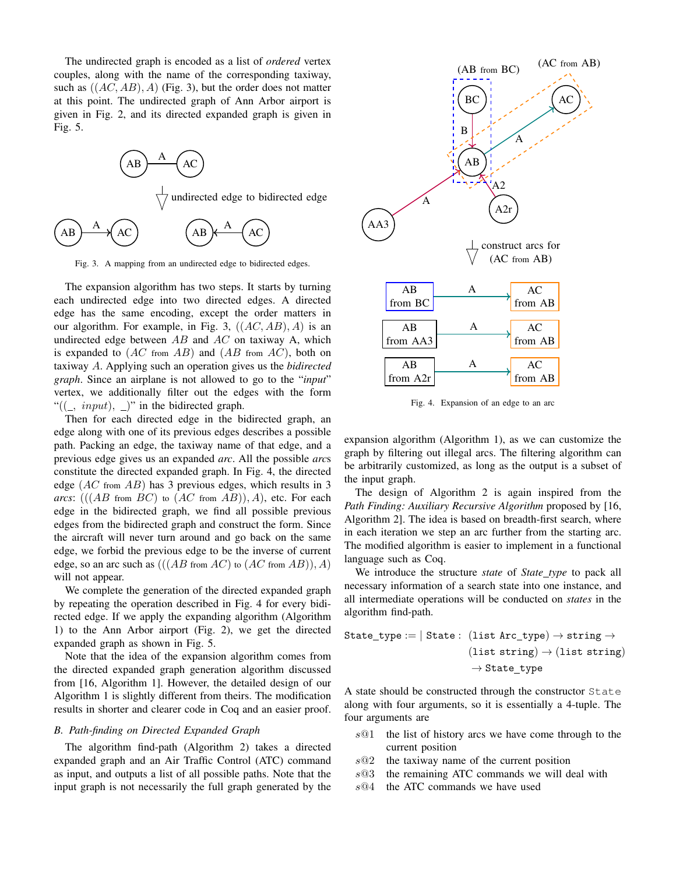The undirected graph is encoded as a list of *ordered* vertex couples, along with the name of the corresponding taxiway, such as  $((AC, AB), A)$  (Fig. 3), but the order does not matter at this point. The undirected graph of Ann Arbor airport is given in Fig. 2, and its directed expanded graph is given in Fig. 5.



Fig. 3. A mapping from an undirected edge to bidirected edges.

The expansion algorithm has two steps. It starts by turning each undirected edge into two directed edges. A directed edge has the same encoding, except the order matters in our algorithm. For example, in Fig. 3,  $((AC, AB), A)$  is an undirected edge between  $AB$  and  $AC$  on taxiway A, which is expanded to  $(AC \text{ from } AB)$  and  $(AB \text{ from } AC)$ , both on taxiway A. Applying such an operation gives us the *bidirected graph*. Since an airplane is not allowed to go to the "*input*" vertex, we additionally filter out the edges with the form " $((\_, input), \_)$ " in the bidirected graph.

Then for each directed edge in the bidirected graph, an edge along with one of its previous edges describes a possible path. Packing an edge, the taxiway name of that edge, and a previous edge gives us an expanded *arc*. All the possible *arc*s constitute the directed expanded graph. In Fig. 4, the directed edge  $(AC \text{ from } AB)$  has 3 previous edges, which results in 3 *arcs*:  $(((AB \text{ from } BC) \text{ to } (AC \text{ from } AB)), A)$ , etc. For each edge in the bidirected graph, we find all possible previous edges from the bidirected graph and construct the form. Since the aircraft will never turn around and go back on the same edge, we forbid the previous edge to be the inverse of current edge, so an arc such as  $(((AB \text{ from } AC) \text{ to } (AC \text{ from } AB)), A)$ will not appear.

We complete the generation of the directed expanded graph by repeating the operation described in Fig. 4 for every bidirected edge. If we apply the expanding algorithm (Algorithm 1) to the Ann Arbor airport (Fig. 2), we get the directed expanded graph as shown in Fig. 5.

Note that the idea of the expansion algorithm comes from the directed expanded graph generation algorithm discussed from [16, Algorithm 1]. However, the detailed design of our Algorithm 1 is slightly different from theirs. The modification results in shorter and clearer code in Coq and an easier proof.

## *B. Path-finding on Directed Expanded Graph*

The algorithm find-path (Algorithm 2) takes a directed expanded graph and an Air Traffic Control (ATC) command as input, and outputs a list of all possible paths. Note that the input graph is not necessarily the full graph generated by the



Fig. 4. Expansion of an edge to an arc

expansion algorithm (Algorithm 1), as we can customize the graph by filtering out illegal arcs. The filtering algorithm can be arbitrarily customized, as long as the output is a subset of the input graph.

The design of Algorithm 2 is again inspired from the *Path Finding: Auxiliary Recursive Algorithm* proposed by [16, Algorithm 2]. The idea is based on breadth-first search, where in each iteration we step an arc further from the starting arc. The modified algorithm is easier to implement in a functional language such as Coq.

We introduce the structure *state* of *State type* to pack all necessary information of a search state into one instance, and all intermediate operations will be conducted on *states* in the algorithm find-path.

$$
\begin{aligned} \mathtt{State\_type} := | \ \mathtt{State}: \ (\mathtt{list \, Arc\_type}) \rightarrow \mathtt{string} \rightarrow \\ & (\mathtt{list \, string}) \rightarrow (\mathtt{list \, string}) \\ & \rightarrow \mathtt{State\_type} \end{aligned}
$$

A state should be constructed through the constructor State along with four arguments, so it is essentially a 4-tuple. The four arguments are

- $s@1$  the list of history arcs we have come through to the current position
- $s@2$  the taxiway name of the current position
- $s@3$  the remaining ATC commands we will deal with
- $s@4$  the ATC commands we have used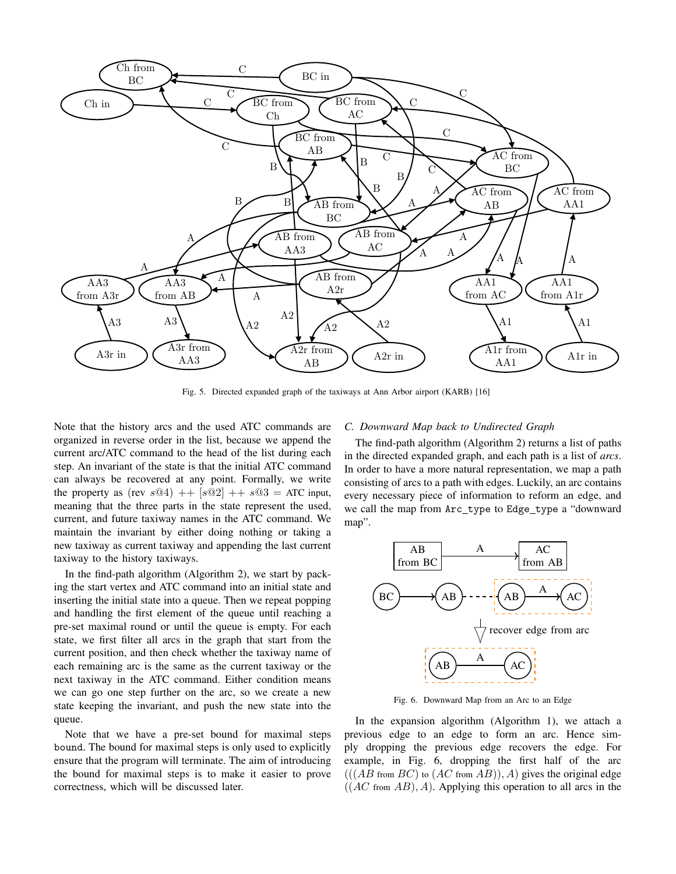

Fig. 5. Directed expanded graph of the taxiways at Ann Arbor airport (KARB) [16]

Note that the history arcs and the used ATC commands are organized in reverse order in the list, because we append the current arc/ATC command to the head of the list during each step. An invariant of the state is that the initial ATC command can always be recovered at any point. Formally, we write the property as (rev  $s@4$ ) ++  $[s@2]$  ++  $s@3$  = ATC input, meaning that the three parts in the state represent the used, current, and future taxiway names in the ATC command. We maintain the invariant by either doing nothing or taking a new taxiway as current taxiway and appending the last current taxiway to the history taxiways.

In the find-path algorithm (Algorithm 2), we start by packing the start vertex and ATC command into an initial state and inserting the initial state into a queue. Then we repeat popping and handling the first element of the queue until reaching a pre-set maximal round or until the queue is empty. For each state, we first filter all arcs in the graph that start from the current position, and then check whether the taxiway name of each remaining arc is the same as the current taxiway or the next taxiway in the ATC command. Either condition means we can go one step further on the arc, so we create a new state keeping the invariant, and push the new state into the queue.

Note that we have a pre-set bound for maximal steps bound. The bound for maximal steps is only used to explicitly ensure that the program will terminate. The aim of introducing the bound for maximal steps is to make it easier to prove correctness, which will be discussed later.

## *C. Downward Map back to Undirected Graph*

The find-path algorithm (Algorithm 2) returns a list of paths in the directed expanded graph, and each path is a list of *arcs*. In order to have a more natural representation, we map a path consisting of arcs to a path with edges. Luckily, an arc contains every necessary piece of information to reform an edge, and we call the map from Arc\_type to Edge\_type a "downward map".



Fig. 6. Downward Map from an Arc to an Edge

In the expansion algorithm (Algorithm 1), we attach a previous edge to an edge to form an arc. Hence simply dropping the previous edge recovers the edge. For example, in Fig. 6, dropping the first half of the arc  $(((AB \text{ from } BC) \text{ to } (AC \text{ from } AB)), A)$  gives the original edge  $((AC from AB), A)$ . Applying this operation to all arcs in the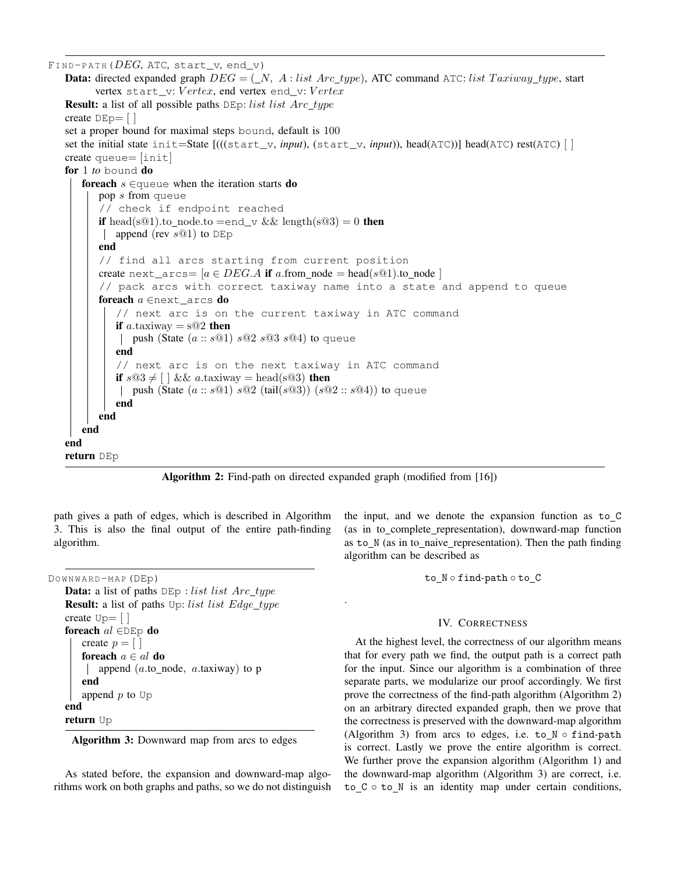FIND-PATH( $DEG$ , ATC, start\_v, end\_v) **Data:** directed expanded graph  $DEG = (N, A : list Arc_type),$  ATC command ATC: list Taxiway\_type, start vertex start\_v: Vertex, end vertex end\_v: Vertex **Result:** a list of all possible paths  $DEp: list list Arc_type$ create  $DEp = |$ set a proper bound for maximal steps bound, default is 100 set the initial state init=State [(((start\_v, *input*), (start\_v, *input*)), head(ATC))] head(ATC) rest(ATC) [ ] create queue= [init] for 1 *to* bound do foreach  $s \in \{$ queue when the iteration starts do pop s from queue // check if endpoint reached **if** head(sQ1).to\_node.to =end\_v && length(sQ3) = 0 **then** | append (rev  $s@1$ ) to DEp end // find all arcs starting from current position create next\_arcs=  $[a \in DEC.A$  if a.from\_node = head(sQ1).to\_node ] // pack arcs with correct taxiway name into a state and append to queue foreach  $a \in \text{next}$  arcs do // next arc is on the current taxiway in ATC command if a.taxiway  $=$  s $@2$  then | push (State  $(a:: s@1) s@2 s@3 s@4$ ) to queue end // next arc is on the next taxiway in ATC command if  $s@3 \neq [\ ] \&\& a.\iota axiway = head(s@3)$  then | push (State  $(a:: s@1) s@2$  (tail $(s@3)$ )  $(s@2:: s@4)$ ) to queue end end end end return DEp

Algorithm 2: Find-path on directed expanded graph (modified from [16])

.

path gives a path of edges, which is described in Algorithm 3. This is also the final output of the entire path-finding algorithm.

```
DOWNWARD-MAP (DEp)
```

```
Data: a list of paths DEp: list list Arc_typeResult: a list of paths Up: list list Edge_type
create Up = []foreach al \in DEp do
   create p = \lceil \rceilforeach a \in al do
     | append (a.\text{to\_node}, a.\text{taxiway}) to p
    end
    append p to Up
end
return Up
```
Algorithm 3: Downward map from arcs to edges

As stated before, the expansion and downward-map algorithms work on both graphs and paths, so we do not distinguish the input, and we denote the expansion function as to C (as in to complete representation), downward-map function as to\_N (as in to\_naive\_representation). Then the path finding algorithm can be described as

to N ◦ find*-*path ◦ to C

## IV. CORRECTNESS

At the highest level, the correctness of our algorithm means that for every path we find, the output path is a correct path for the input. Since our algorithm is a combination of three separate parts, we modularize our proof accordingly. We first prove the correctness of the find-path algorithm (Algorithm 2) on an arbitrary directed expanded graph, then we prove that the correctness is preserved with the downward-map algorithm (Algorithm 3) from arcs to edges, i.e. to\_N ○ find-path is correct. Lastly we prove the entire algorithm is correct. We further prove the expansion algorithm (Algorithm 1) and the downward-map algorithm (Algorithm 3) are correct, i.e.  $to _C \circ to _N$  is an identity map under certain conditions,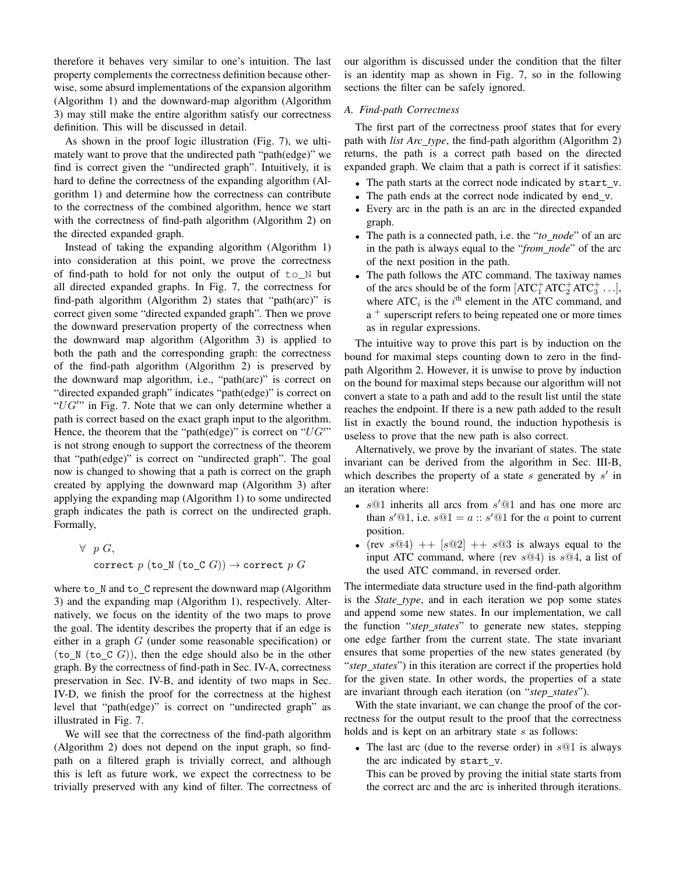therefore it behaves very similar to one's intuition. The last property complements the correctness definition because otherwise, some absurd implementations of the expansion algorithm (Algorithm 1) and the downward-map algorithm (Algorithm 3) may still make the entire algorithm satisfy our correctness definition. This will be discussed in detail.

As shown in the proof logic illustration (Fig. 7), we ultimately want to prove that the undirected path "path(edge)" we find is correct given the "undirected graph". Intuitively, it is hard to define the correctness of the expanding algorithm (Algorithm 1) and determine how the correctness can contribute to the correctness of the combined algorithm, hence we start with the correctness of find-path algorithm (Algorithm 2) on the directed expanded graph.

Instead of taking the expanding algorithm (Algorithm 1) into consideration at this point, we prove the correctness of find-path to hold for not only the output of  $\text{to}_N$  but all directed expanded graphs. In Fig. 7, the correctness for find-path algorithm (Algorithm 2) states that "path(arc)" is correct given some "directed expanded graph". Then we prove the downward preservation property of the correctness when the downward map algorithm (Algorithm 3) is applied to both the path and the corresponding graph: the correctness of the find-path algorithm (Algorithm 2) is preserved by the downward map algorithm, i.e., "path(arc)" is correct on "directed expanded graph" indicates "path(edge)" is correct on " $UG''$  in Fig. 7. Note that we can only determine whether a path is correct based on the exact graph input to the algorithm. Hence, the theorem that the "path(edge)" is correct on " $UG''$ " is not strong enough to support the correctness of the theorem that "path(edge)" is correct on "undirected graph". The goal now is changed to showing that a path is correct on the graph created by applying the downward map (Algorithm 3) after applying the expanding map (Algorithm 1) to some undirected graph indicates the path is correct on the undirected graph. Formally,

$$
\forall p G,
$$
  
correct p (to\_N (to\_C G))  $\rightarrow$  correct p G

where to\_N and to\_C represent the downward map (Algorithm 3) and the expanding map (Algorithm 1), respectively. Alternatively, we focus on the identity of the two maps to prove the goal. The identity describes the property that if an edge is either in a graph G (under some reasonable specification) or  $(to_N (to_c C G))$ , then the edge should also be in the other graph. By the correctness of find-path in Sec. IV-A, correctness preservation in Sec. IV-B, and identity of two maps in Sec. IV-D, we finish the proof for the correctness at the highest level that "path(edge)" is correct on "undirected graph" as illustrated in Fig. 7.

We will see that the correctness of the find-path algorithm (Algorithm 2) does not depend on the input graph, so findpath on a filtered graph is trivially correct, and although this is left as future work, we expect the correctness to be trivially preserved with any kind of filter. The correctness of our algorithm is discussed under the condition that the filter is an identity map as shown in Fig. 7, so in the following sections the filter can be safely ignored.

## *A. Find-path Correctness*

The first part of the correctness proof states that for every path with *list Arc type*, the find-path algorithm (Algorithm 2) returns, the path is a correct path based on the directed expanded graph. We claim that a path is correct if it satisfies:

- The path starts at the correct node indicated by  $start_v$ .
- The path ends at the correct node indicated by end\_v.
- Every arc in the path is an arc in the directed expanded graph.
- The path is a connected path, i.e. the "*to node*" of an arc in the path is always equal to the "*from node*" of the arc of the next position in the path.
- The path follows the ATC command. The taxiway names of the arcs should be of the form  $[ATC<sub>1</sub><sup>+</sup>ATC<sub>2</sub><sup>+</sup>ATC<sub>3</sub><sup>+</sup>...]$ , where  $ATC_i$  is the  $i<sup>th</sup>$  element in the ATC command, and a <sup>+</sup> superscript refers to being repeated one or more times as in regular expressions.

The intuitive way to prove this part is by induction on the bound for maximal steps counting down to zero in the findpath Algorithm 2. However, it is unwise to prove by induction on the bound for maximal steps because our algorithm will not convert a state to a path and add to the result list until the state reaches the endpoint. If there is a new path added to the result list in exactly the bound round, the induction hypothesis is useless to prove that the new path is also correct.

Alternatively, we prove by the invariant of states. The state invariant can be derived from the algorithm in Sec. III-B, which describes the property of a state  $s$  generated by  $s'$  in an iteration where:

- $s@1$  inherits all arcs from  $s'@1$  and has one more arc than  $s' @ 1$ , i.e.  $s @ 1 = a :: s' @ 1$  for the a point to current position.
- (rev  $s@4$ ) ++  $[s@2]$  ++  $s@3$  is always equal to the input ATC command, where (rev  $s@4$ ) is  $s@4$ , a list of the used ATC command, in reversed order.

The intermediate data structure used in the find-path algorithm is the *State type*, and in each iteration we pop some states and append some new states. In our implementation, we call the function "*step states*" to generate new states, stepping one edge farther from the current state. The state invariant ensures that some properties of the new states generated (by "*step states*") in this iteration are correct if the properties hold for the given state. In other words, the properties of a state are invariant through each iteration (on "*step states*").

With the state invariant, we can change the proof of the correctness for the output result to the proof that the correctness holds and is kept on an arbitrary state s as follows:

- The last arc (due to the reverse order) in  $s@1$  is always the arc indicated by start v.
	- This can be proved by proving the initial state starts from the correct arc and the arc is inherited through iterations.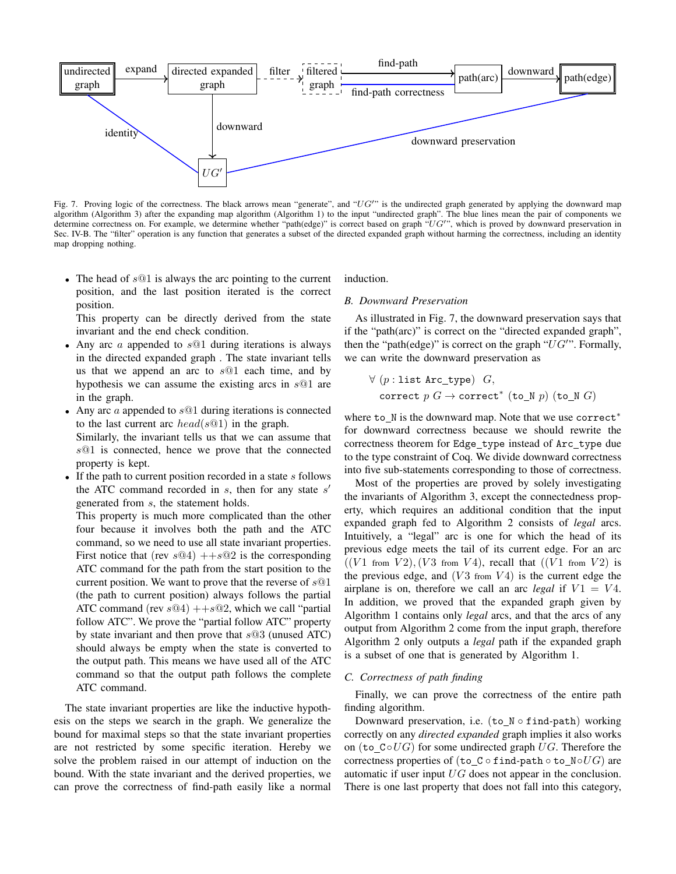

Fig. 7. Proving logic of the correctness. The black arrows mean "generate", and "UG" is the undirected graph generated by applying the downward map algorithm (Algorithm 3) after the expanding map algorithm (Algorithm 1) to the input "undirected graph". The blue lines mean the pair of components we determine correctness on. For example, we determine whether "path(edge)" is correct based on graph "UG"", which is proved by downward preservation in Sec. IV-B. The "filter" operation is any function that generates a subset of the directed expanded graph without harming the correctness, including an identity map dropping nothing.

• The head of  $s@1$  is always the arc pointing to the current position, and the last position iterated is the correct position.

This property can be directly derived from the state invariant and the end check condition.

- Any arc  $\alpha$  appended to  $s@1$  during iterations is always in the directed expanded graph . The state invariant tells us that we append an arc to  $s@1$  each time, and by hypothesis we can assume the existing arcs in s@1 are in the graph.
- Any arc a appended to  $s@1$  during iterations is connected to the last current arc  $head(s@1)$  in the graph.

Similarly, the invariant tells us that we can assume that s@1 is connected, hence we prove that the connected property is kept.

• If the path to current position recorded in a state  $s$  follows the ATC command recorded in  $s$ , then for any state  $s'$ generated from s, the statement holds.

This property is much more complicated than the other four because it involves both the path and the ATC command, so we need to use all state invariant properties. First notice that (rev  $s@4$ )  $++s@2$  is the corresponding ATC command for the path from the start position to the current position. We want to prove that the reverse of  $s@1$ (the path to current position) always follows the partial ATC command (rev  $s@4$ )  $++s@2$ , which we call "partial follow ATC". We prove the "partial follow ATC" property by state invariant and then prove that  $s@3$  (unused ATC) should always be empty when the state is converted to the output path. This means we have used all of the ATC command so that the output path follows the complete ATC command.

The state invariant properties are like the inductive hypothesis on the steps we search in the graph. We generalize the bound for maximal steps so that the state invariant properties are not restricted by some specific iteration. Hereby we solve the problem raised in our attempt of induction on the bound. With the state invariant and the derived properties, we can prove the correctness of find-path easily like a normal induction.

# *B. Downward Preservation*

As illustrated in Fig. 7, the downward preservation says that if the "path(arc)" is correct on the "directed expanded graph", then the "path(edge)" is correct on the graph " $UG''$ . Formally, we can write the downward preservation as

$$
\forall (p: \mathtt{list \, Arc\_type}) \, G, \\ \mathtt{correct} \, p \, G \rightarrow \mathtt{correct}^* \, (\mathtt{to\_N} \, p) \, (\mathtt{to\_N} \, G)
$$

where to\_N is the downward map. Note that we use correct<sup>\*</sup> for downward correctness because we should rewrite the correctness theorem for Edge\_type instead of Arc\_type due to the type constraint of Coq. We divide downward correctness into five sub-statements corresponding to those of correctness.

Most of the properties are proved by solely investigating the invariants of Algorithm 3, except the connectedness property, which requires an additional condition that the input expanded graph fed to Algorithm 2 consists of *legal* arcs. Intuitively, a "legal" arc is one for which the head of its previous edge meets the tail of its current edge. For an arc  $((V1 from V2), (V3 from V4), recall that ((V1 from V2) is$ the previous edge, and  $(V3$  from  $V4)$  is the current edge the airplane is on, therefore we call an arc *legal* if  $V1 = V4$ . In addition, we proved that the expanded graph given by Algorithm 1 contains only *legal* arcs, and that the arcs of any output from Algorithm 2 come from the input graph, therefore Algorithm 2 only outputs a *legal* path if the expanded graph is a subset of one that is generated by Algorithm 1.

## *C. Correctness of path finding*

Finally, we can prove the correctness of the entire path finding algorithm.

Downward preservation, i.e. (to\_N ◦ find-path) working correctly on any *directed expanded* graph implies it also works on (to  $C \circ U$ G) for some undirected graph UG. Therefore the correctness properties of (to\_C ◦ find-path ◦ to\_N◦UG) are automatic if user input  $UG$  does not appear in the conclusion. There is one last property that does not fall into this category,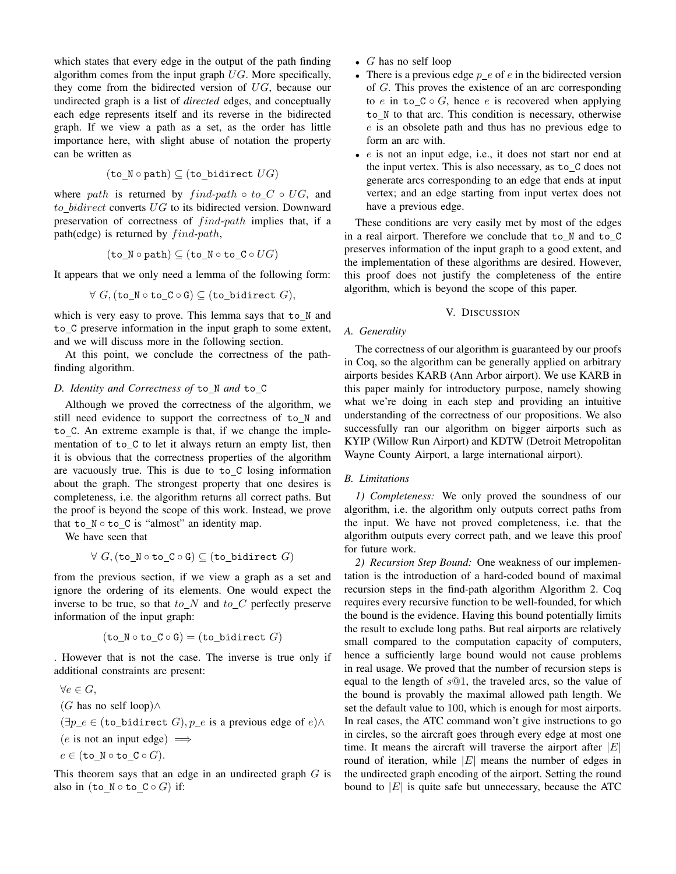which states that every edge in the output of the path finding algorithm comes from the input graph  $UG$ . More specifically, they come from the bidirected version of  $UG$ , because our undirected graph is a list of *directed* edges, and conceptually each edge represents itself and its reverse in the bidirected graph. If we view a path as a set, as the order has little importance here, with slight abuse of notation the property can be written as

$$
(\mathtt{to\_N} \circ \mathtt{path}) \subseteq (\mathtt{to\_bidirect}\; U\hspace{-0.05cm} G)
$$

where path is returned by  $find-path \circ to\_C \circ UG$ , and to bidirect converts  $UG$  to its bidirected version. Downward preservation of correctness of *find-path* implies that, if a path(edge) is returned by  $find-path$ ,

$$
(\texttt{to\_N}\circ\texttt{path})\subseteq (\texttt{to\_N}\circ\texttt{to\_C}\circ U{G})
$$

It appears that we only need a lemma of the following form:

$$
\forall G, (\verb"to_N \circ \verb"to_C \circ \verb"G") \subseteq (\verb"to_bidirect\ G),
$$

which is very easy to prove. This lemma says that to\_N and to C preserve information in the input graph to some extent, and we will discuss more in the following section.

At this point, we conclude the correctness of the pathfinding algorithm.

## D. Identity and Correctness of to\_N and to\_C

Although we proved the correctness of the algorithm, we still need evidence to support the correctness of to\_N and to C. An extreme example is that, if we change the implementation of to C to let it always return an empty list, then it is obvious that the correctness properties of the algorithm are vacuously true. This is due to to C losing information about the graph. The strongest property that one desires is completeness, i.e. the algorithm returns all correct paths. But the proof is beyond the scope of this work. Instead, we prove that  $to_N \circ to_C$  is "almost" an identity map.

We have seen that

$$
\forall \; G, (\texttt{to\_N} \circ \texttt{to\_C} \circ \texttt{G}) \subseteq (\texttt{to\_bidirect} \; G)
$$

from the previous section, if we view a graph as a set and ignore the ordering of its elements. One would expect the inverse to be true, so that  $to_N$  and  $to_C$  perfectly preserve information of the input graph:

$$
(\texttt{to\_N} \circ \texttt{to\_C} \circ \texttt{G}) = (\texttt{to\_bidirect} \ G)
$$

. However that is not the case. The inverse is true only if additional constraints are present:

$$
\forall e \in G,
$$
  
(G has no self loop) $\land$   

$$
(\exists p\_e \in (\text{to\_bidirect } G), p\_e \text{ is a previous edge of } e) \land
$$
  
(e is not an input edge)  $\implies$   
 $e \in (\text{to\_N} \circ \text{to\_C} \circ G).$ 

This theorem says that an edge in an undirected graph  $G$  is also in  $(\texttt{to_N} \circ \texttt{to_C} \circ G)$  if:

- $G$  has no self loop
- There is a previous edge  $p_e$  of e in the bidirected version of G. This proves the existence of an arc corresponding to e in to  $C \circ G$ , hence e is recovered when applying to\_N to that arc. This condition is necessary, otherwise e is an obsolete path and thus has no previous edge to form an arc with.
- e is not an input edge, i.e., it does not start nor end at the input vertex. This is also necessary, as to\_C does not generate arcs corresponding to an edge that ends at input vertex; and an edge starting from input vertex does not have a previous edge.

These conditions are very easily met by most of the edges in a real airport. Therefore we conclude that to N and to C preserves information of the input graph to a good extent, and the implementation of these algorithms are desired. However, this proof does not justify the completeness of the entire algorithm, which is beyond the scope of this paper.

#### V. DISCUSSION

#### *A. Generality*

The correctness of our algorithm is guaranteed by our proofs in Coq, so the algorithm can be generally applied on arbitrary airports besides KARB (Ann Arbor airport). We use KARB in this paper mainly for introductory purpose, namely showing what we're doing in each step and providing an intuitive understanding of the correctness of our propositions. We also successfully ran our algorithm on bigger airports such as KYIP (Willow Run Airport) and KDTW (Detroit Metropolitan Wayne County Airport, a large international airport).

# *B. Limitations*

*1) Completeness:* We only proved the soundness of our algorithm, i.e. the algorithm only outputs correct paths from the input. We have not proved completeness, i.e. that the algorithm outputs every correct path, and we leave this proof for future work.

*2) Recursion Step Bound:* One weakness of our implementation is the introduction of a hard-coded bound of maximal recursion steps in the find-path algorithm Algorithm 2. Coq requires every recursive function to be well-founded, for which the bound is the evidence. Having this bound potentially limits the result to exclude long paths. But real airports are relatively small compared to the computation capacity of computers, hence a sufficiently large bound would not cause problems in real usage. We proved that the number of recursion steps is equal to the length of  $s@1$ , the traveled arcs, so the value of the bound is provably the maximal allowed path length. We set the default value to 100, which is enough for most airports. In real cases, the ATC command won't give instructions to go in circles, so the aircraft goes through every edge at most one time. It means the aircraft will traverse the airport after  $|E|$ round of iteration, while  $|E|$  means the number of edges in the undirected graph encoding of the airport. Setting the round bound to  $|E|$  is quite safe but unnecessary, because the ATC